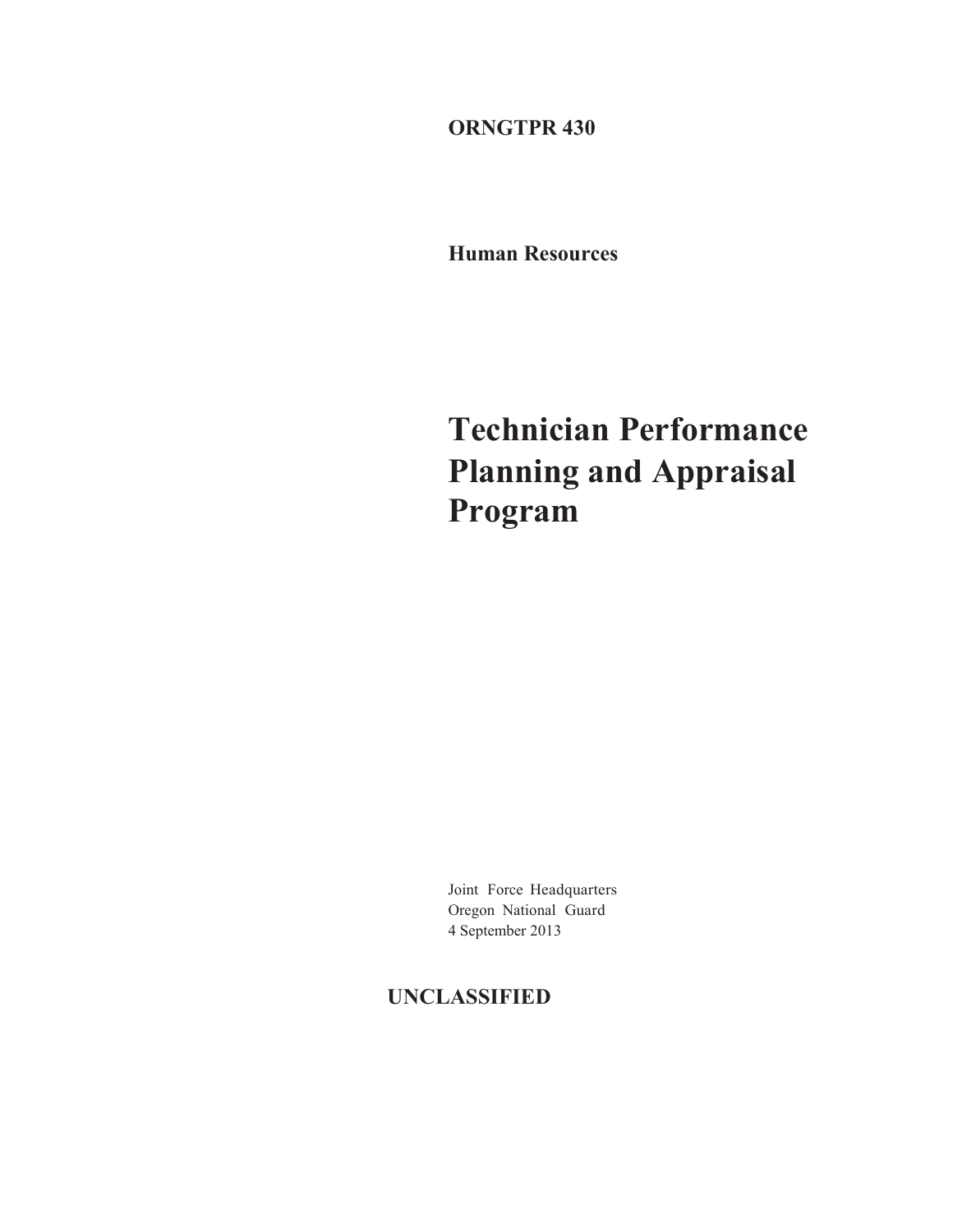**ORNGTPR 430** 

**Human Resources** 

**Technician Performance Planning and Appraisal Program** 

Joint Force Headquarters Oregon National Guard 4 September 2013

# **UNCLASSIFIED**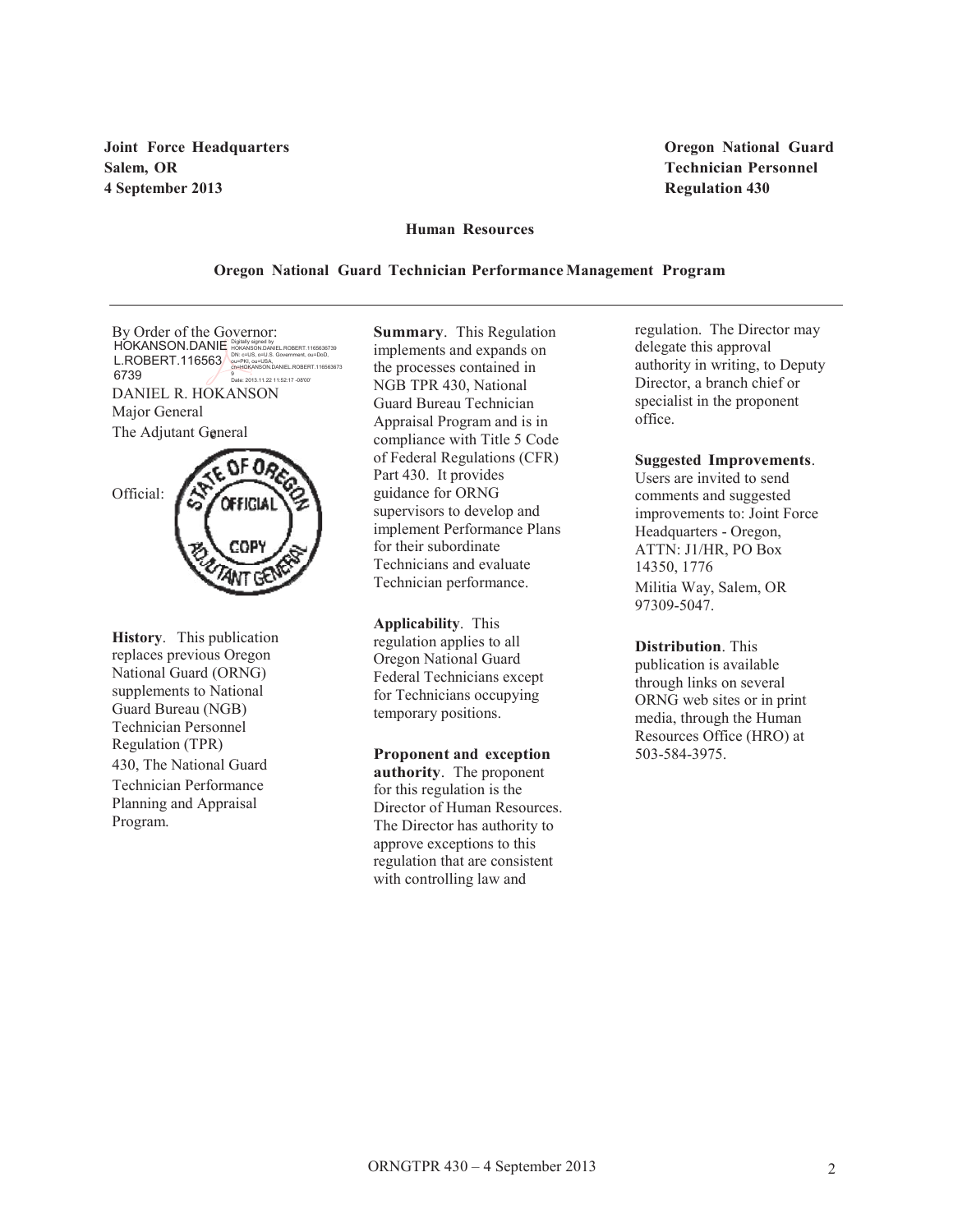**Joint Force Headquarters Oregon National Guard Salem, OR Technician Personnel 4 September 2013 Regulation 430** 

#### **Human Resources**

#### **Oregon National Guard Technician Performance Management Program**

The Adjutant General By Order of the Governor: DANIEL R. HOKANSON Major General HOKANSON.DANIE L.ROBERT.116563 6739 Digitally signed by<br>HOKANSON.DANIEL.ROBERT.1165636739<br>DN: c=US, o=U.S. Government, ou=DoD,<br>ou=PKI, ou=USA,<br>cn=HOKANSON.DANIEL.ROBERT.116563673<br>9 Date: 2013.11.22 11:52:17 -08'00'



**History**. This publication replaces previous Oregon National Guard (ORNG) supplements to National Guard Bureau (NGB) Technician Personnel Regulation (TPR) 430, The National Guard Technician Performance Planning and Appraisal Program.

**Summary**. This Regulation implements and expands on the processes contained in NGB TPR 430, National Guard Bureau Technician Appraisal Program and is in compliance with Title 5 Code of Federal Regulations (CFR) Part 430. It provides guidance for ORNG supervisors to develop and implement Performance Plans for their subordinate Technicians and evaluate Technician performance.

**Applicability**. This regulation applies to all Oregon National Guard Federal Technicians except for Technicians occupying temporary positions.

**Proponent and exception authority**. The proponent for this regulation is the Director of Human Resources. The Director has authority to approve exceptions to this regulation that are consistent with controlling law and

regulation. The Director may delegate this approval authority in writing, to Deputy Director, a branch chief or specialist in the proponent office.

#### **Suggested Improvements**.

Users are invited to send comments and suggested improvements to: Joint Force Headquarters - Oregon, ATTN: J1/HR, PO Box 14350, 1776 Militia Way, Salem, OR 97309-5047.

**Distribution**. This publication is available through links on several ORNG web sites or in print media, through the Human Resources Office (HRO) at 503-584-3975.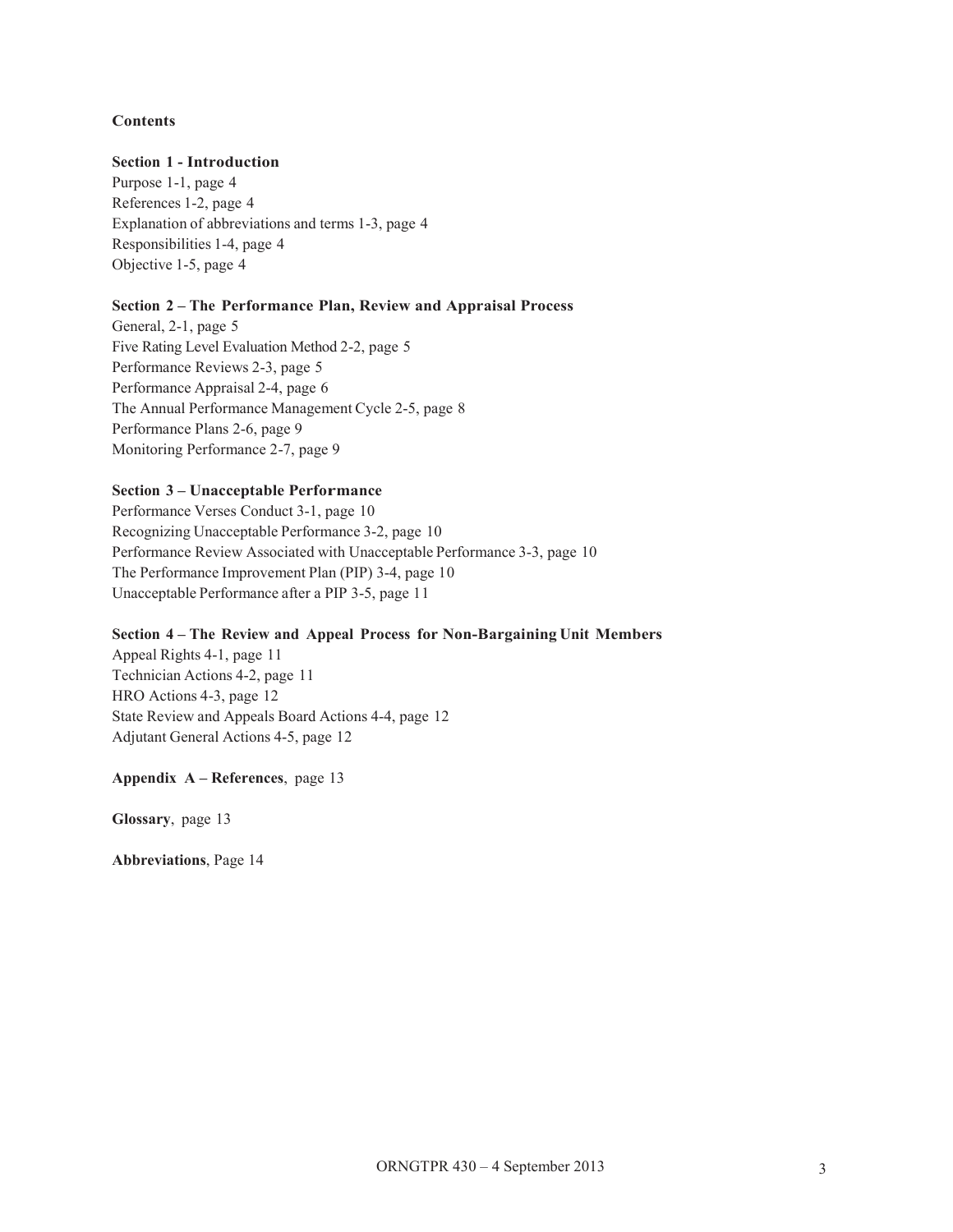# **Contents**

# **Section 1 - Introduction**

Purpose 1-1, page 4 References 1-2, page 4 Explanation of abbreviations and terms 1-3, page 4 Responsibilities 1-4, page 4 Objective 1-5, page 4

## **Section 2 – The Performance Plan, Review and Appraisal Process**

General, 2-1, page 5 Five Rating Level Evaluation Method 2-2, page 5 Performance Reviews 2-3, page 5 Performance Appraisal 2-4, page 6 The Annual Performance Management Cycle 2-5, page 8 Performance Plans 2-6, page 9 Monitoring Performance 2-7, page 9

# **Section 3 – Unacceptable Performance**

Performance Verses Conduct 3-1, page 10 Recognizing Unacceptable Performance 3-2, page 10 Performance Review Associated with Unacceptable Performance 3-3, page 10 The Performance Improvement Plan (PIP) 3-4, page 10 Unacceptable Performance after a PIP 3-5, page 11

# **Section 4 – The Review and Appeal Process for Non-Bargaining Unit Members**

Appeal Rights 4-1, page 11 Technician Actions 4-2, page 11 HRO Actions 4-3, page 12 State Review and Appeals Board Actions 4-4, page 12 Adjutant General Actions 4-5, page 12

# **Appendix A – References**, page 13

**Glossary**, page 13

**Abbreviations**, Page 14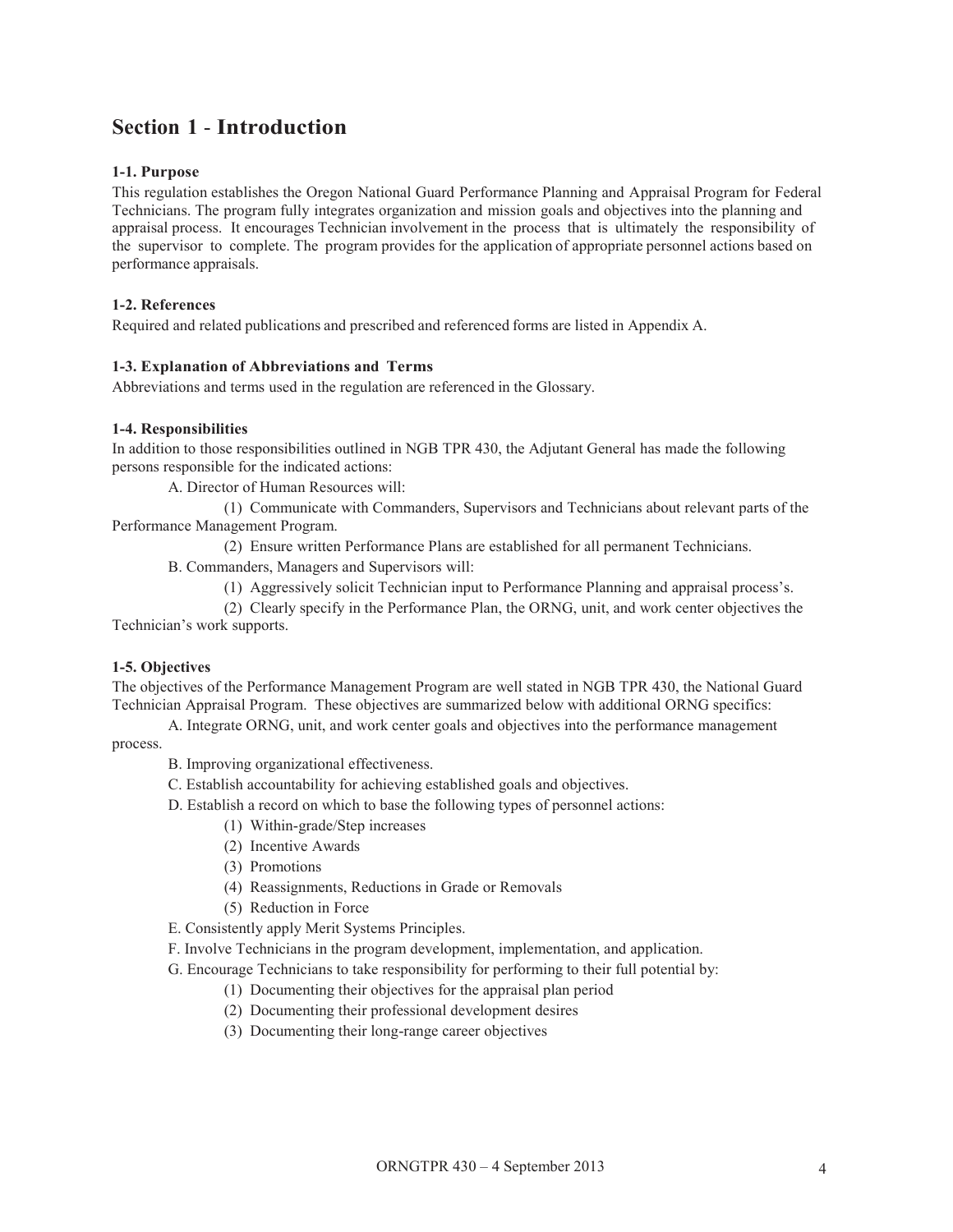# **Section 1** - **Introduction**

# **1-1. Purpose**

This regulation establishes the Oregon National Guard Performance Planning and Appraisal Program for Federal Technicians. The program fully integrates organization and mission goals and objectives into the planning and appraisal process. It encourages Technician involvement in the process that is ultimately the responsibility of the supervisor to complete. The program provides for the application of appropriate personnel actions based on performance appraisals.

# **1-2. References**

Required and related publications and prescribed and referenced forms are listed in Appendix A.

# **1-3. Explanation of Abbreviations and Terms**

Abbreviations and terms used in the regulation are referenced in the Glossary.

### **1-4. Responsibilities**

In addition to those responsibilities outlined in NGB TPR 430, the Adjutant General has made the following persons responsible for the indicated actions:

A. Director of Human Resources will:

(1) Communicate with Commanders, Supervisors and Technicians about relevant parts of the Performance Management Program.

(2) Ensure written Performance Plans are established for all permanent Technicians.

B. Commanders, Managers and Supervisors will:

(1) Aggressively solicit Technician input to Performance Planning and appraisal process's.

(2) Clearly specify in the Performance Plan, the ORNG, unit, and work center objectives the Technician's work supports.

# **1-5. Objectives**

The objectives of the Performance Management Program are well stated in NGB TPR 430, the National Guard Technician Appraisal Program. These objectives are summarized below with additional ORNG specifics:

A. Integrate ORNG, unit, and work center goals and objectives into the performance management process.

B. Improving organizational effectiveness.

C. Establish accountability for achieving established goals and objectives.

D. Establish a record on which to base the following types of personnel actions:

- (1) Within-grade/Step increases
- (2) Incentive Awards
- (3) Promotions
- (4) Reassignments, Reductions in Grade or Removals
- (5) Reduction in Force

E. Consistently apply Merit Systems Principles.

F. Involve Technicians in the program development, implementation, and application.

G. Encourage Technicians to take responsibility for performing to their full potential by:

(1) Documenting their objectives for the appraisal plan period

- (2) Documenting their professional development desires
- (3) Documenting their long-range career objectives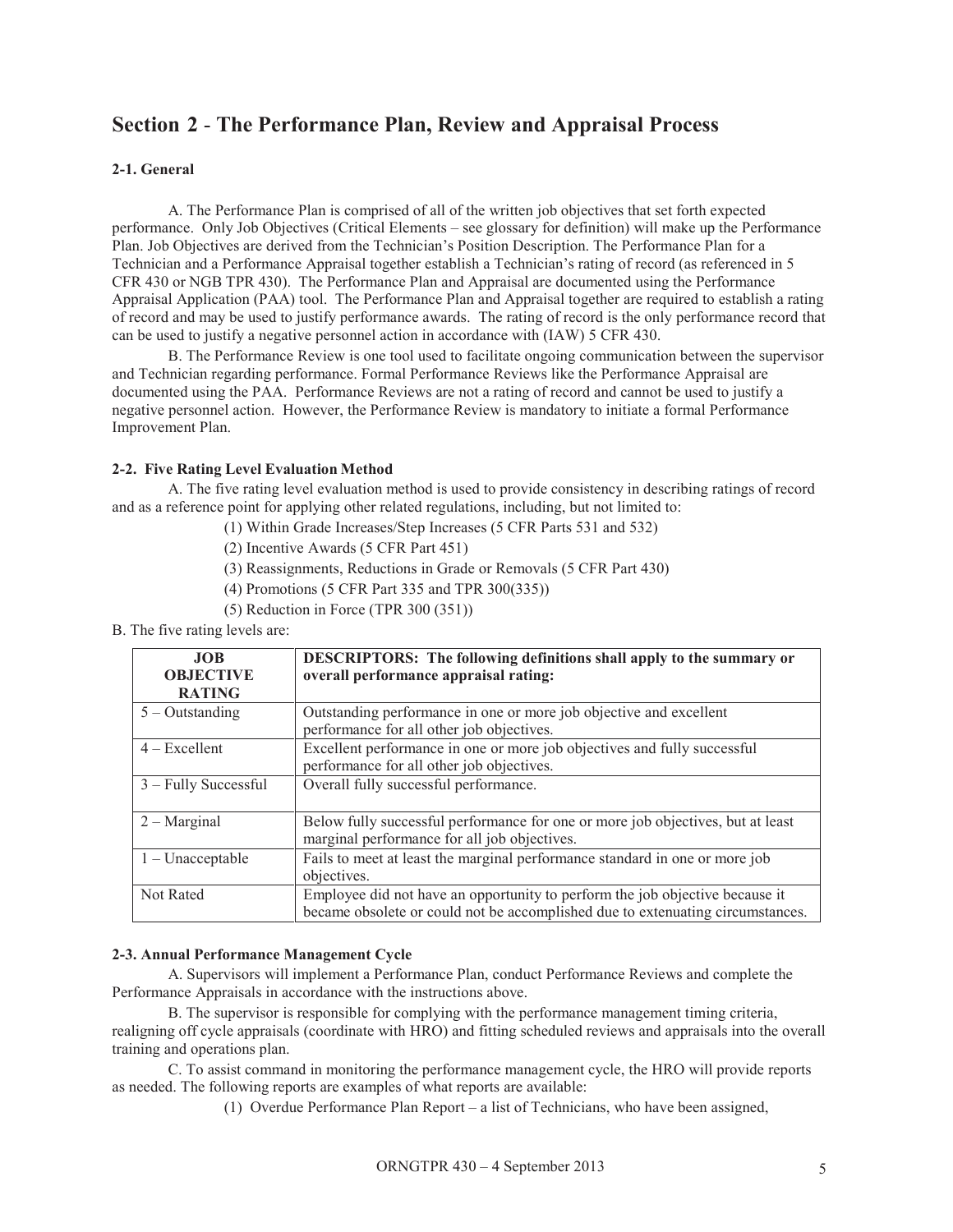# **Section 2** - **The Performance Plan, Review and Appraisal Process**

# **2-1. General**

A. The Performance Plan is comprised of all of the written job objectives that set forth expected performance. Only Job Objectives (Critical Elements – see glossary for definition) will make up the Performance Plan. Job Objectives are derived from the Technician's Position Description. The Performance Plan for a Technician and a Performance Appraisal together establish a Technician's rating of record (as referenced in 5 CFR 430 or NGB TPR 430). The Performance Plan and Appraisal are documented using the Performance Appraisal Application (PAA) tool. The Performance Plan and Appraisal together are required to establish a rating of record and may be used to justify performance awards. The rating of record is the only performance record that can be used to justify a negative personnel action in accordance with (IAW) 5 CFR 430.

B. The Performance Review is one tool used to facilitate ongoing communication between the supervisor and Technician regarding performance. Formal Performance Reviews like the Performance Appraisal are documented using the PAA. Performance Reviews are not a rating of record and cannot be used to justify a negative personnel action. However, the Performance Review is mandatory to initiate a formal Performance Improvement Plan.

# **2-2. Five Rating Level Evaluation Method**

A. The five rating level evaluation method is used to provide consistency in describing ratings of record and as a reference point for applying other related regulations, including, but not limited to:

- (1) Within Grade Increases/Step Increases (5 CFR Parts 531 and 532)
- (2) Incentive Awards (5 CFR Part 451)
- (3) Reassignments, Reductions in Grade or Removals (5 CFR Part 430)
- (4) Promotions (5 CFR Part 335 and TPR 300(335))
- (5) Reduction in Force (TPR 300 (351))
- B. The five rating levels are:

| <b>JOB</b><br><b>OBJECTIVE</b><br><b>RATING</b> | <b>DESCRIPTORS:</b> The following definitions shall apply to the summary or<br>overall performance appraisal rating:                                           |
|-------------------------------------------------|----------------------------------------------------------------------------------------------------------------------------------------------------------------|
| $5 -$ Outstanding                               | Outstanding performance in one or more job objective and excellent<br>performance for all other job objectives.                                                |
| $4 - Excellent$                                 | Excellent performance in one or more job objectives and fully successful<br>performance for all other job objectives.                                          |
| $3 -$ Fully Successful                          | Overall fully successful performance.                                                                                                                          |
| $2 - Marginal$                                  | Below fully successful performance for one or more job objectives, but at least<br>marginal performance for all job objectives.                                |
| $1 -$ Unacceptable                              | Fails to meet at least the marginal performance standard in one or more job<br>objectives.                                                                     |
| Not Rated                                       | Employee did not have an opportunity to perform the job objective because it<br>became obsolete or could not be accomplished due to extenuating circumstances. |

# **2-3. Annual Performance Management Cycle**

A. Supervisors will implement a Performance Plan, conduct Performance Reviews and complete the Performance Appraisals in accordance with the instructions above.

B. The supervisor is responsible for complying with the performance management timing criteria, realigning off cycle appraisals (coordinate with HRO) and fitting scheduled reviews and appraisals into the overall training and operations plan.

C. To assist command in monitoring the performance management cycle, the HRO will provide reports as needed. The following reports are examples of what reports are available:

(1) Overdue Performance Plan Report – a list of Technicians, who have been assigned,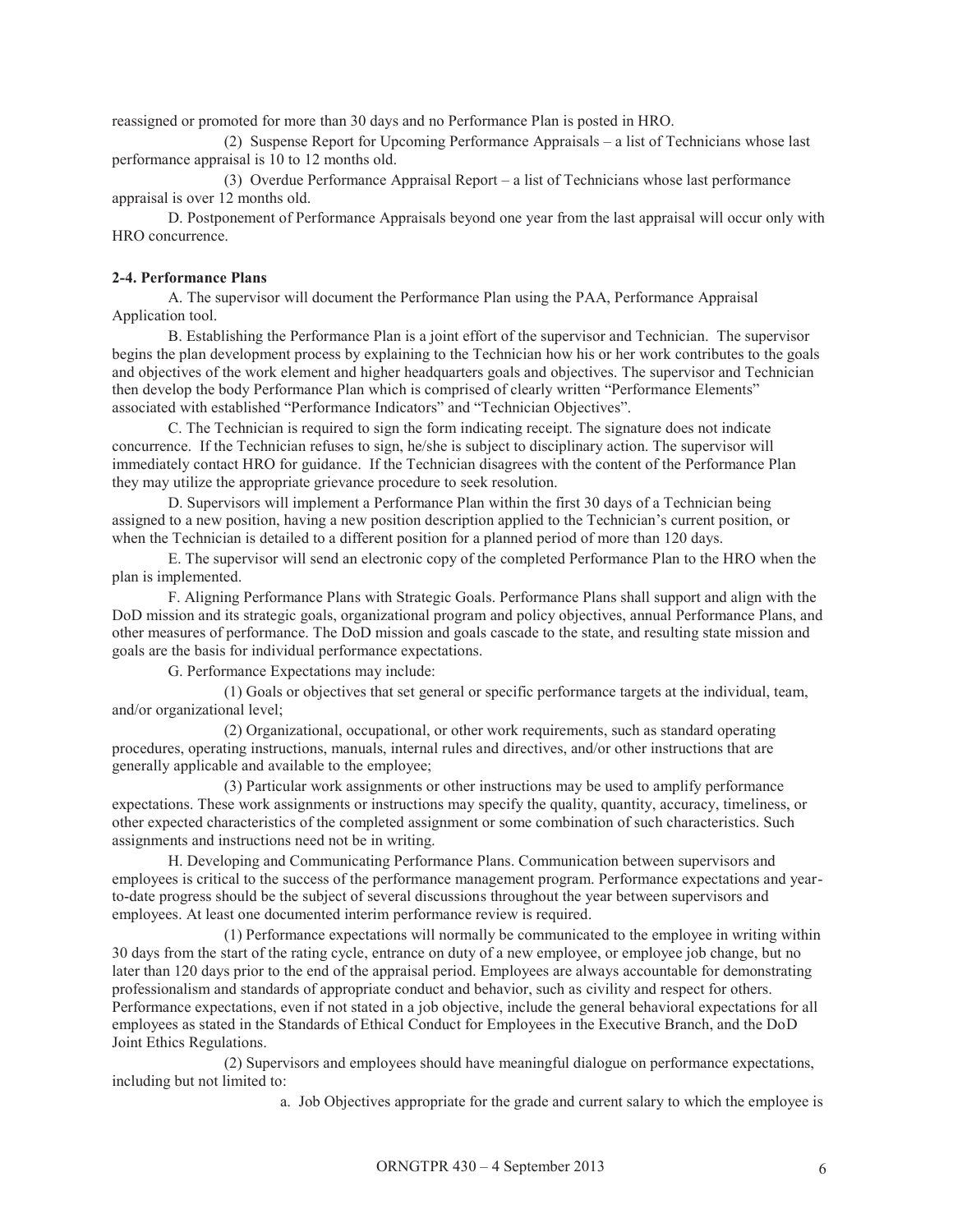reassigned or promoted for more than 30 days and no Performance Plan is posted in HRO.

(2) Suspense Report for Upcoming Performance Appraisals – a list of Technicians whose last performance appraisal is 10 to 12 months old.

(3) Overdue Performance Appraisal Report – a list of Technicians whose last performance appraisal is over 12 months old.

D. Postponement of Performance Appraisals beyond one year from the last appraisal will occur only with HRO concurrence.

#### **2-4. Performance Plans**

A. The supervisor will document the Performance Plan using the PAA, Performance Appraisal Application tool.

B. Establishing the Performance Plan is a joint effort of the supervisor and Technician. The supervisor begins the plan development process by explaining to the Technician how his or her work contributes to the goals and objectives of the work element and higher headquarters goals and objectives. The supervisor and Technician then develop the body Performance Plan which is comprised of clearly written "Performance Elements" associated with established "Performance Indicators" and "Technician Objectives".

C. The Technician is required to sign the form indicating receipt. The signature does not indicate concurrence. If the Technician refuses to sign, he/she is subject to disciplinary action. The supervisor will immediately contact HRO for guidance. If the Technician disagrees with the content of the Performance Plan they may utilize the appropriate grievance procedure to seek resolution.

D. Supervisors will implement a Performance Plan within the first 30 days of a Technician being assigned to a new position, having a new position description applied to the Technician's current position, or when the Technician is detailed to a different position for a planned period of more than 120 days.

E. The supervisor will send an electronic copy of the completed Performance Plan to the HRO when the plan is implemented.

F. Aligning Performance Plans with Strategic Goals. Performance Plans shall support and align with the DoD mission and its strategic goals, organizational program and policy objectives, annual Performance Plans, and other measures of performance. The DoD mission and goals cascade to the state, and resulting state mission and goals are the basis for individual performance expectations.

G. Performance Expectations may include:

(1) Goals or objectives that set general or specific performance targets at the individual, team, and/or organizational level;

(2) Organizational, occupational, or other work requirements, such as standard operating procedures, operating instructions, manuals, internal rules and directives, and/or other instructions that are generally applicable and available to the employee;

(3) Particular work assignments or other instructions may be used to amplify performance expectations. These work assignments or instructions may specify the quality, quantity, accuracy, timeliness, or other expected characteristics of the completed assignment or some combination of such characteristics. Such assignments and instructions need not be in writing.

H. Developing and Communicating Performance Plans. Communication between supervisors and employees is critical to the success of the performance management program. Performance expectations and yearto-date progress should be the subject of several discussions throughout the year between supervisors and employees. At least one documented interim performance review is required.

(1) Performance expectations will normally be communicated to the employee in writing within 30 days from the start of the rating cycle, entrance on duty of a new employee, or employee job change, but no later than 120 days prior to the end of the appraisal period. Employees are always accountable for demonstrating professionalism and standards of appropriate conduct and behavior, such as civility and respect for others. Performance expectations, even if not stated in a job objective, include the general behavioral expectations for all employees as stated in the Standards of Ethical Conduct for Employees in the Executive Branch, and the DoD Joint Ethics Regulations.

(2) Supervisors and employees should have meaningful dialogue on performance expectations, including but not limited to:

a. Job Objectives appropriate for the grade and current salary to which the employee is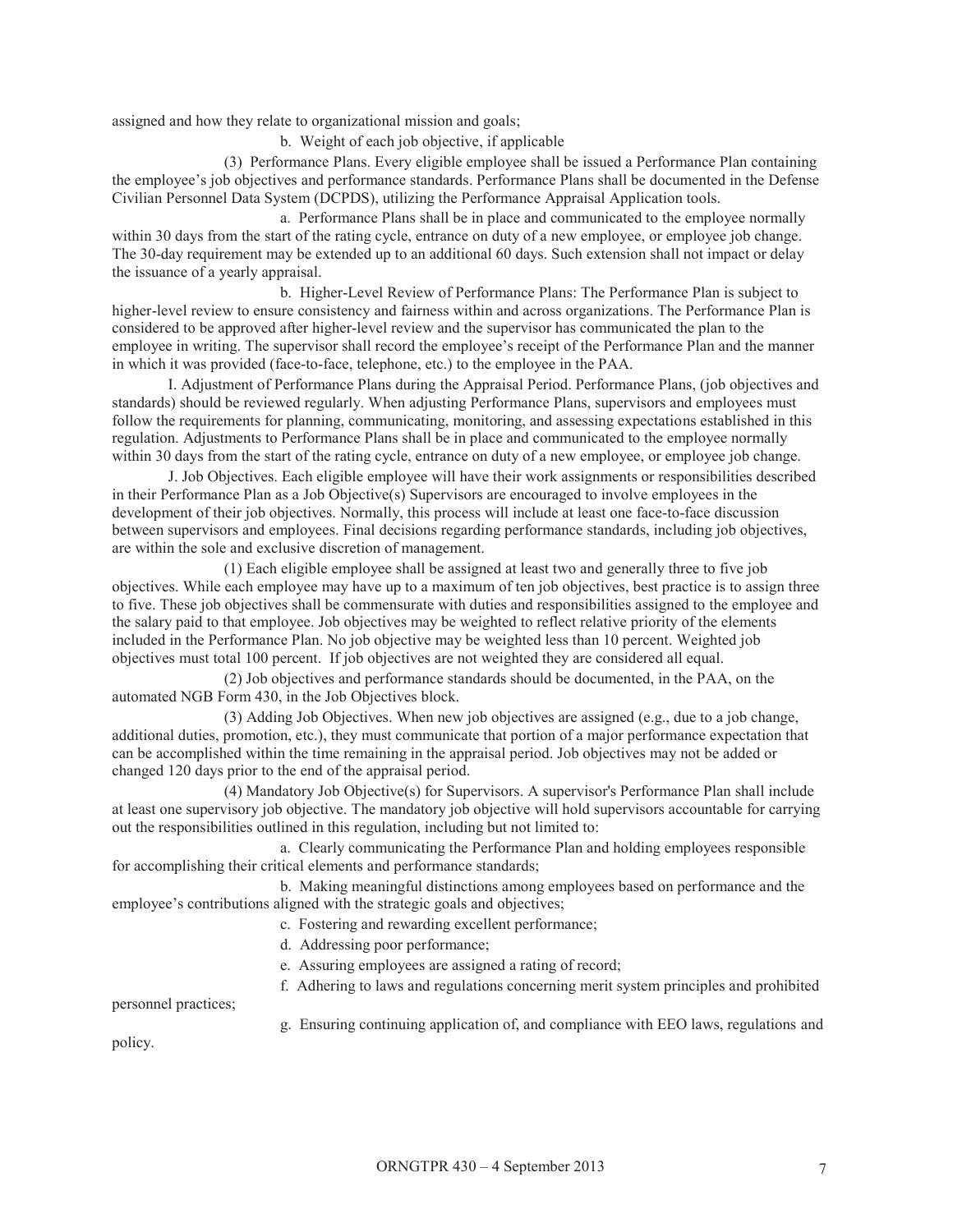assigned and how they relate to organizational mission and goals;

b. Weight of each job objective, if applicable

 (3) Performance Plans. Every eligible employee shall be issued a Performance Plan containing the employee's job objectives and performance standards. Performance Plans shall be documented in the Defense Civilian Personnel Data System (DCPDS), utilizing the Performance Appraisal Application tools.

a. Performance Plans shall be in place and communicated to the employee normally within 30 days from the start of the rating cycle, entrance on duty of a new employee, or employee job change. The 30-day requirement may be extended up to an additional 60 days. Such extension shall not impact or delay the issuance of a yearly appraisal.

b. Higher-Level Review of Performance Plans: The Performance Plan is subject to higher-level review to ensure consistency and fairness within and across organizations. The Performance Plan is considered to be approved after higher-level review and the supervisor has communicated the plan to the employee in writing. The supervisor shall record the employee's receipt of the Performance Plan and the manner in which it was provided (face-to-face, telephone, etc.) to the employee in the PAA.

I. Adjustment of Performance Plans during the Appraisal Period. Performance Plans, (job objectives and standards) should be reviewed regularly. When adjusting Performance Plans, supervisors and employees must follow the requirements for planning, communicating, monitoring, and assessing expectations established in this regulation. Adjustments to Performance Plans shall be in place and communicated to the employee normally within 30 days from the start of the rating cycle, entrance on duty of a new employee, or employee job change.

J. Job Objectives. Each eligible employee will have their work assignments or responsibilities described in their Performance Plan as a Job Objective(s) Supervisors are encouraged to involve employees in the development of their job objectives. Normally, this process will include at least one face-to-face discussion between supervisors and employees. Final decisions regarding performance standards, including job objectives, are within the sole and exclusive discretion of management.

(1) Each eligible employee shall be assigned at least two and generally three to five job objectives. While each employee may have up to a maximum of ten job objectives, best practice is to assign three to five. These job objectives shall be commensurate with duties and responsibilities assigned to the employee and the salary paid to that employee. Job objectives may be weighted to reflect relative priority of the elements included in the Performance Plan. No job objective may be weighted less than 10 percent. Weighted job objectives must total 100 percent. If job objectives are not weighted they are considered all equal.

(2) Job objectives and performance standards should be documented, in the PAA, on the automated NGB Form 430, in the Job Objectives block.

(3) Adding Job Objectives. When new job objectives are assigned (e.g., due to a job change, additional duties, promotion, etc.), they must communicate that portion of a major performance expectation that can be accomplished within the time remaining in the appraisal period. Job objectives may not be added or changed 120 days prior to the end of the appraisal period.

(4) Mandatory Job Objective(s) for Supervisors. A supervisor's Performance Plan shall include at least one supervisory job objective. The mandatory job objective will hold supervisors accountable for carrying out the responsibilities outlined in this regulation, including but not limited to:

a. Clearly communicating the Performance Plan and holding employees responsible for accomplishing their critical elements and performance standards;

b. Making meaningful distinctions among employees based on performance and the employee's contributions aligned with the strategic goals and objectives;

c. Fostering and rewarding excellent performance;

- d. Addressing poor performance;
- e. Assuring employees are assigned a rating of record;
- f. Adhering to laws and regulations concerning merit system principles and prohibited

personnel practices;

g. Ensuring continuing application of, and compliance with EEO laws, regulations and

policy.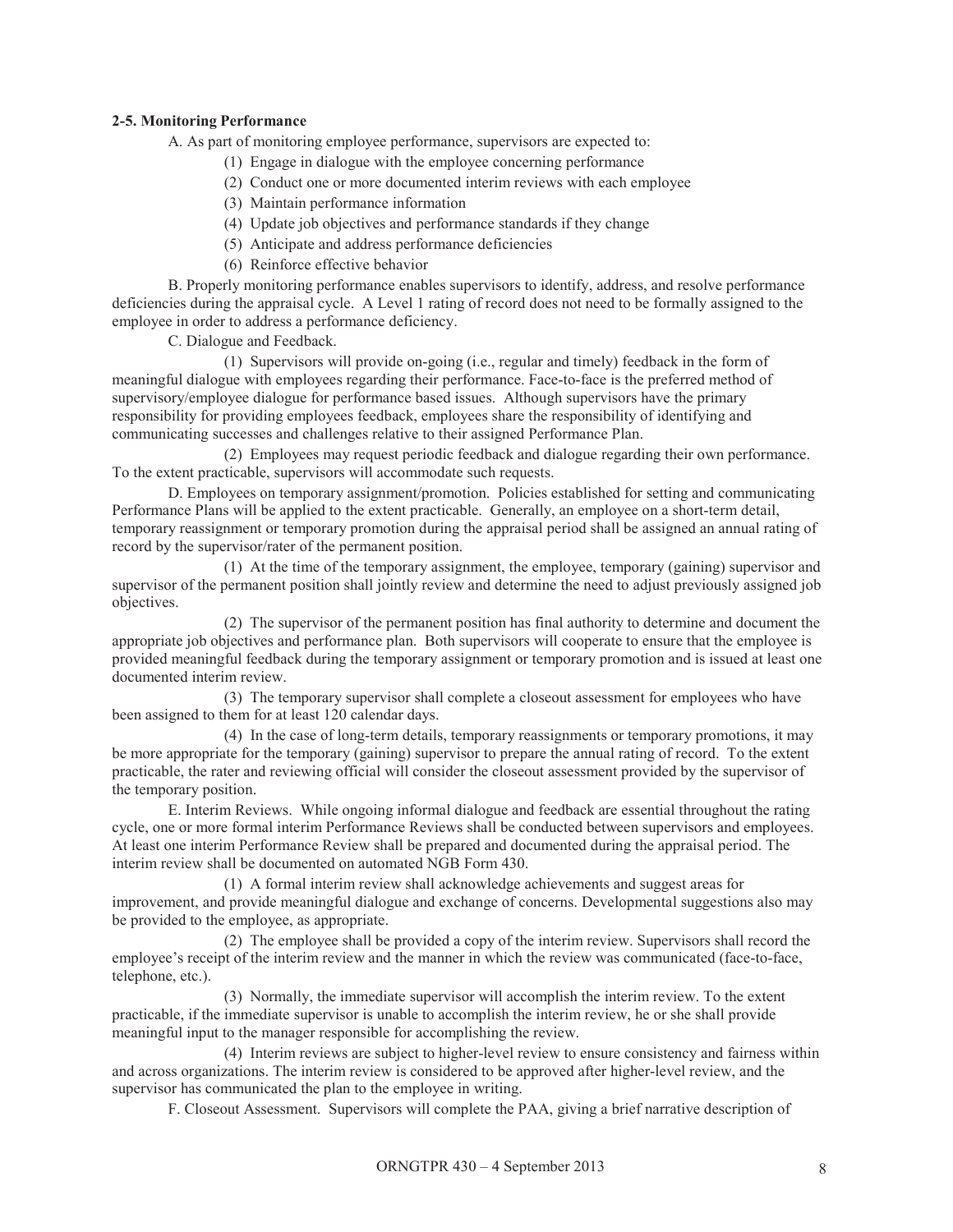## **2-5. Monitoring Performance**

A. As part of monitoring employee performance, supervisors are expected to:

- (1) Engage in dialogue with the employee concerning performance
- (2) Conduct one or more documented interim reviews with each employee
- (3) Maintain performance information
- (4) Update job objectives and performance standards if they change
- (5) Anticipate and address performance deficiencies
- (6) Reinforce effective behavior

B. Properly monitoring performance enables supervisors to identify, address, and resolve performance deficiencies during the appraisal cycle. A Level 1 rating of record does not need to be formally assigned to the employee in order to address a performance deficiency.

C. Dialogue and Feedback.

(1) Supervisors will provide on-going (i.e., regular and timely) feedback in the form of meaningful dialogue with employees regarding their performance. Face-to-face is the preferred method of supervisory/employee dialogue for performance based issues. Although supervisors have the primary responsibility for providing employees feedback, employees share the responsibility of identifying and communicating successes and challenges relative to their assigned Performance Plan.

(2) Employees may request periodic feedback and dialogue regarding their own performance. To the extent practicable, supervisors will accommodate such requests.

D. Employees on temporary assignment/promotion. Policies established for setting and communicating Performance Plans will be applied to the extent practicable. Generally, an employee on a short-term detail, temporary reassignment or temporary promotion during the appraisal period shall be assigned an annual rating of record by the supervisor/rater of the permanent position.

(1) At the time of the temporary assignment, the employee, temporary (gaining) supervisor and supervisor of the permanent position shall jointly review and determine the need to adjust previously assigned job objectives.

(2) The supervisor of the permanent position has final authority to determine and document the appropriate job objectives and performance plan. Both supervisors will cooperate to ensure that the employee is provided meaningful feedback during the temporary assignment or temporary promotion and is issued at least one documented interim review.

(3) The temporary supervisor shall complete a closeout assessment for employees who have been assigned to them for at least 120 calendar days.

(4) In the case of long-term details, temporary reassignments or temporary promotions, it may be more appropriate for the temporary (gaining) supervisor to prepare the annual rating of record. To the extent practicable, the rater and reviewing official will consider the closeout assessment provided by the supervisor of the temporary position.

E. Interim Reviews. While ongoing informal dialogue and feedback are essential throughout the rating cycle, one or more formal interim Performance Reviews shall be conducted between supervisors and employees. At least one interim Performance Review shall be prepared and documented during the appraisal period. The interim review shall be documented on automated NGB Form 430.

(1) A formal interim review shall acknowledge achievements and suggest areas for improvement, and provide meaningful dialogue and exchange of concerns. Developmental suggestions also may be provided to the employee, as appropriate.

(2) The employee shall be provided a copy of the interim review. Supervisors shall record the employee's receipt of the interim review and the manner in which the review was communicated (face-to-face, telephone, etc.).

(3) Normally, the immediate supervisor will accomplish the interim review. To the extent practicable, if the immediate supervisor is unable to accomplish the interim review, he or she shall provide meaningful input to the manager responsible for accomplishing the review.

(4) Interim reviews are subject to higher-level review to ensure consistency and fairness within and across organizations. The interim review is considered to be approved after higher-level review, and the supervisor has communicated the plan to the employee in writing.

F. Closeout Assessment. Supervisors will complete the PAA, giving a brief narrative description of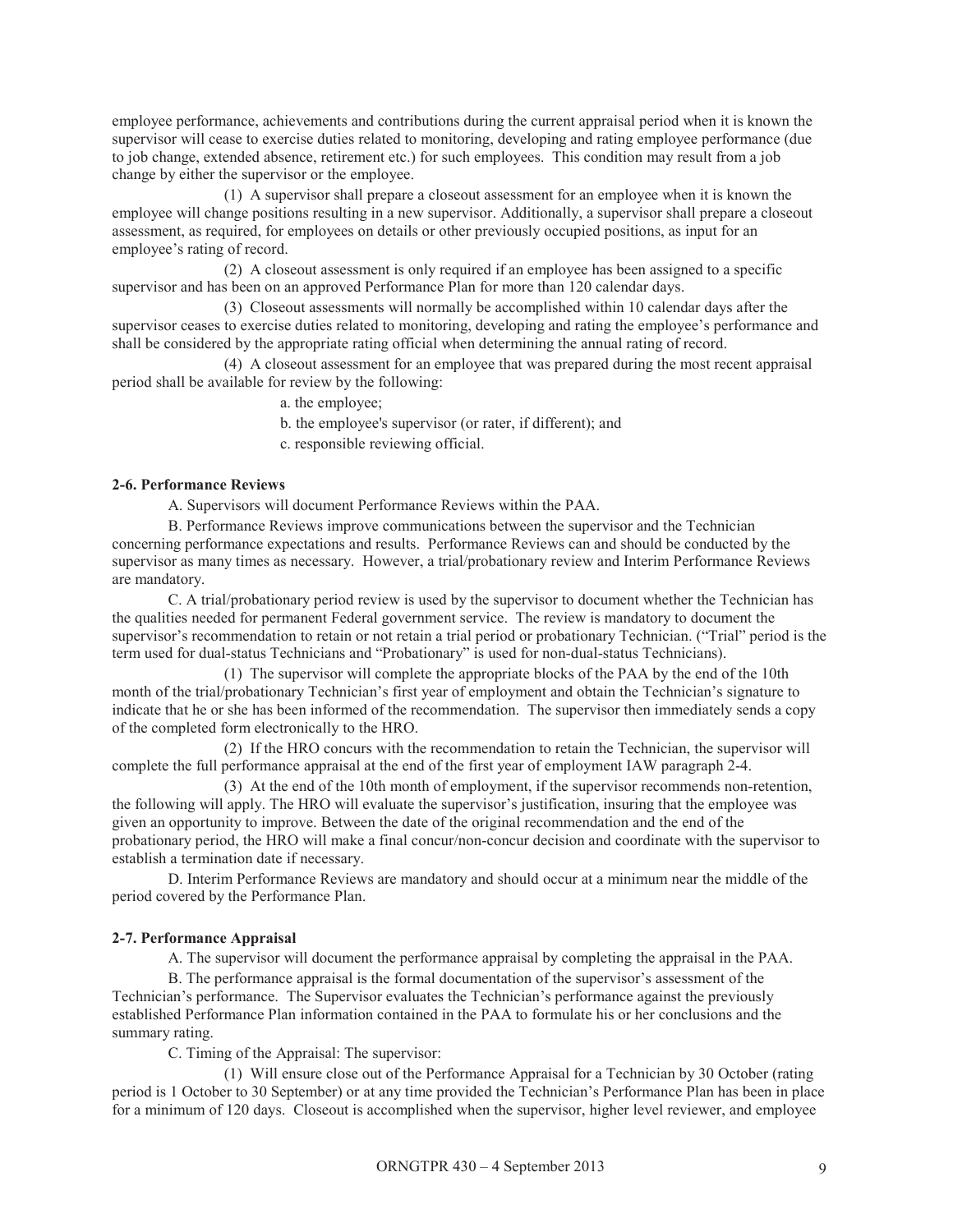employee performance, achievements and contributions during the current appraisal period when it is known the supervisor will cease to exercise duties related to monitoring, developing and rating employee performance (due to job change, extended absence, retirement etc.) for such employees. This condition may result from a job change by either the supervisor or the employee.

(1) A supervisor shall prepare a closeout assessment for an employee when it is known the employee will change positions resulting in a new supervisor. Additionally, a supervisor shall prepare a closeout assessment, as required, for employees on details or other previously occupied positions, as input for an employee's rating of record.

(2) A closeout assessment is only required if an employee has been assigned to a specific supervisor and has been on an approved Performance Plan for more than 120 calendar days.

(3) Closeout assessments will normally be accomplished within 10 calendar days after the supervisor ceases to exercise duties related to monitoring, developing and rating the employee's performance and shall be considered by the appropriate rating official when determining the annual rating of record.

(4) A closeout assessment for an employee that was prepared during the most recent appraisal period shall be available for review by the following:

a. the employee;

b. the employee's supervisor (or rater, if different); and

c. responsible reviewing official.

#### **2-6. Performance Reviews**

A. Supervisors will document Performance Reviews within the PAA.

B. Performance Reviews improve communications between the supervisor and the Technician concerning performance expectations and results. Performance Reviews can and should be conducted by the supervisor as many times as necessary. However, a trial/probationary review and Interim Performance Reviews are mandatory.

C. A trial/probationary period review is used by the supervisor to document whether the Technician has the qualities needed for permanent Federal government service. The review is mandatory to document the supervisor's recommendation to retain or not retain a trial period or probationary Technician. ("Trial" period is the term used for dual-status Technicians and "Probationary" is used for non-dual-status Technicians).

(1) The supervisor will complete the appropriate blocks of the PAA by the end of the 10th month of the trial/probationary Technician's first year of employment and obtain the Technician's signature to indicate that he or she has been informed of the recommendation. The supervisor then immediately sends a copy of the completed form electronically to the HRO.

(2) If the HRO concurs with the recommendation to retain the Technician, the supervisor will complete the full performance appraisal at the end of the first year of employment IAW paragraph 2-4.

(3) At the end of the 10th month of employment, if the supervisor recommends non-retention, the following will apply. The HRO will evaluate the supervisor's justification, insuring that the employee was given an opportunity to improve. Between the date of the original recommendation and the end of the probationary period, the HRO will make a final concur/non-concur decision and coordinate with the supervisor to establish a termination date if necessary.

D. Interim Performance Reviews are mandatory and should occur at a minimum near the middle of the period covered by the Performance Plan.

#### **2-7. Performance Appraisal**

A. The supervisor will document the performance appraisal by completing the appraisal in the PAA.

B. The performance appraisal is the formal documentation of the supervisor's assessment of the Technician's performance. The Supervisor evaluates the Technician's performance against the previously established Performance Plan information contained in the PAA to formulate his or her conclusions and the summary rating.

C. Timing of the Appraisal: The supervisor:

(1) Will ensure close out of the Performance Appraisal for a Technician by 30 October (rating period is 1 October to 30 September) or at any time provided the Technician's Performance Plan has been in place for a minimum of 120 days. Closeout is accomplished when the supervisor, higher level reviewer, and employee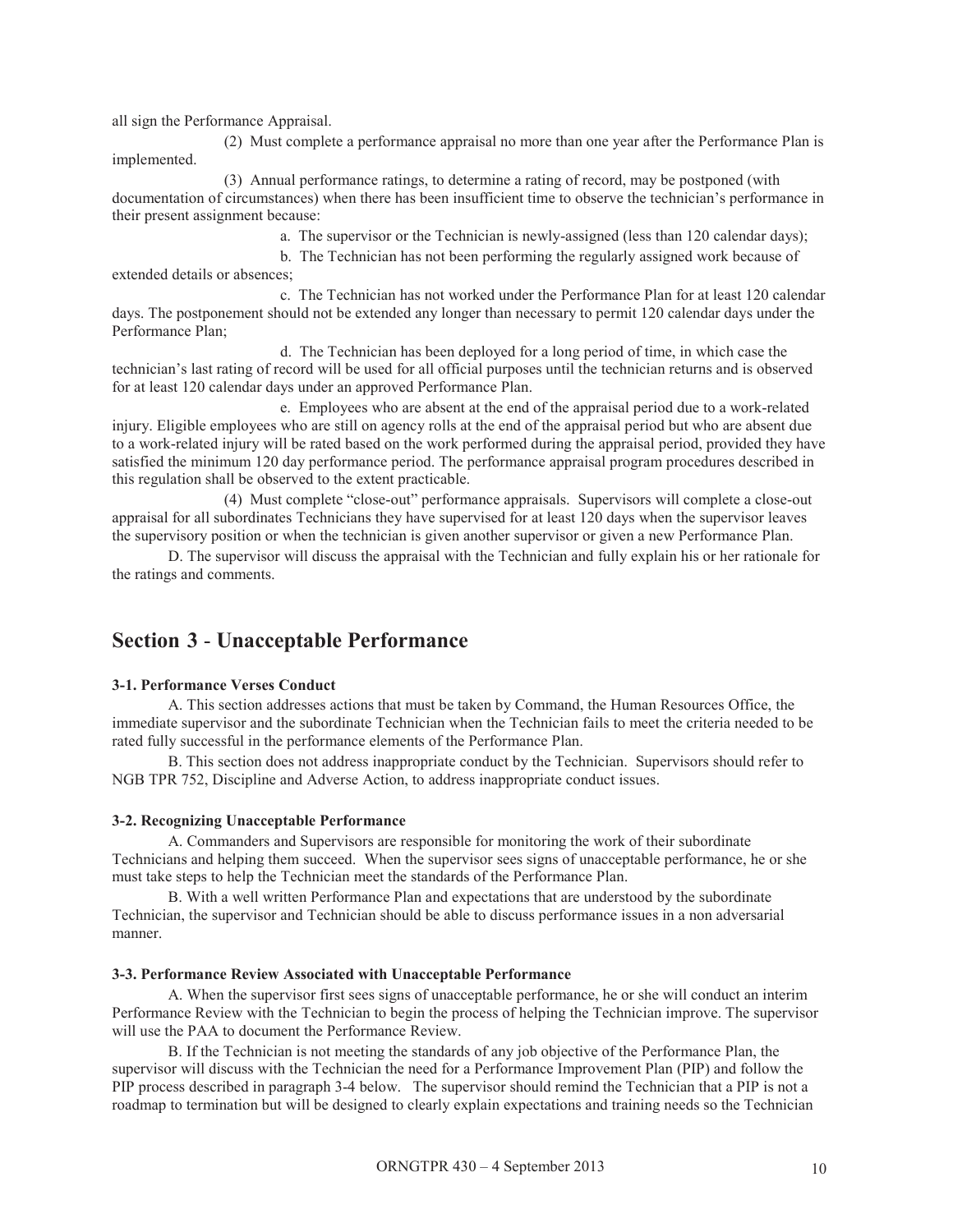all sign the Performance Appraisal.

(2) Must complete a performance appraisal no more than one year after the Performance Plan is implemented.

(3) Annual performance ratings, to determine a rating of record, may be postponed (with documentation of circumstances) when there has been insufficient time to observe the technician's performance in their present assignment because:

a. The supervisor or the Technician is newly-assigned (less than 120 calendar days);

b. The Technician has not been performing the regularly assigned work because of extended details or absences;

c. The Technician has not worked under the Performance Plan for at least 120 calendar days. The postponement should not be extended any longer than necessary to permit 120 calendar days under the Performance Plan;

d. The Technician has been deployed for a long period of time, in which case the technician's last rating of record will be used for all official purposes until the technician returns and is observed for at least 120 calendar days under an approved Performance Plan.

e. Employees who are absent at the end of the appraisal period due to a work-related injury. Eligible employees who are still on agency rolls at the end of the appraisal period but who are absent due to a work-related injury will be rated based on the work performed during the appraisal period, provided they have satisfied the minimum 120 day performance period. The performance appraisal program procedures described in this regulation shall be observed to the extent practicable.

(4) Must complete "close-out" performance appraisals. Supervisors will complete a close-out appraisal for all subordinates Technicians they have supervised for at least 120 days when the supervisor leaves the supervisory position or when the technician is given another supervisor or given a new Performance Plan.

D. The supervisor will discuss the appraisal with the Technician and fully explain his or her rationale for the ratings and comments.

# **Section 3** - **Unacceptable Performance**

#### **3-1. Performance Verses Conduct**

A. This section addresses actions that must be taken by Command, the Human Resources Office, the immediate supervisor and the subordinate Technician when the Technician fails to meet the criteria needed to be rated fully successful in the performance elements of the Performance Plan.

B. This section does not address inappropriate conduct by the Technician. Supervisors should refer to NGB TPR 752, Discipline and Adverse Action, to address inappropriate conduct issues.

#### **3-2. Recognizing Unacceptable Performance**

A. Commanders and Supervisors are responsible for monitoring the work of their subordinate Technicians and helping them succeed. When the supervisor sees signs of unacceptable performance, he or she must take steps to help the Technician meet the standards of the Performance Plan.

B. With a well written Performance Plan and expectations that are understood by the subordinate Technician, the supervisor and Technician should be able to discuss performance issues in a non adversarial manner.

#### **3-3. Performance Review Associated with Unacceptable Performance**

A. When the supervisor first sees signs of unacceptable performance, he or she will conduct an interim Performance Review with the Technician to begin the process of helping the Technician improve. The supervisor will use the PAA to document the Performance Review.

B. If the Technician is not meeting the standards of any job objective of the Performance Plan, the supervisor will discuss with the Technician the need for a Performance Improvement Plan (PIP) and follow the PIP process described in paragraph 3-4 below. The supervisor should remind the Technician that a PIP is not a roadmap to termination but will be designed to clearly explain expectations and training needs so the Technician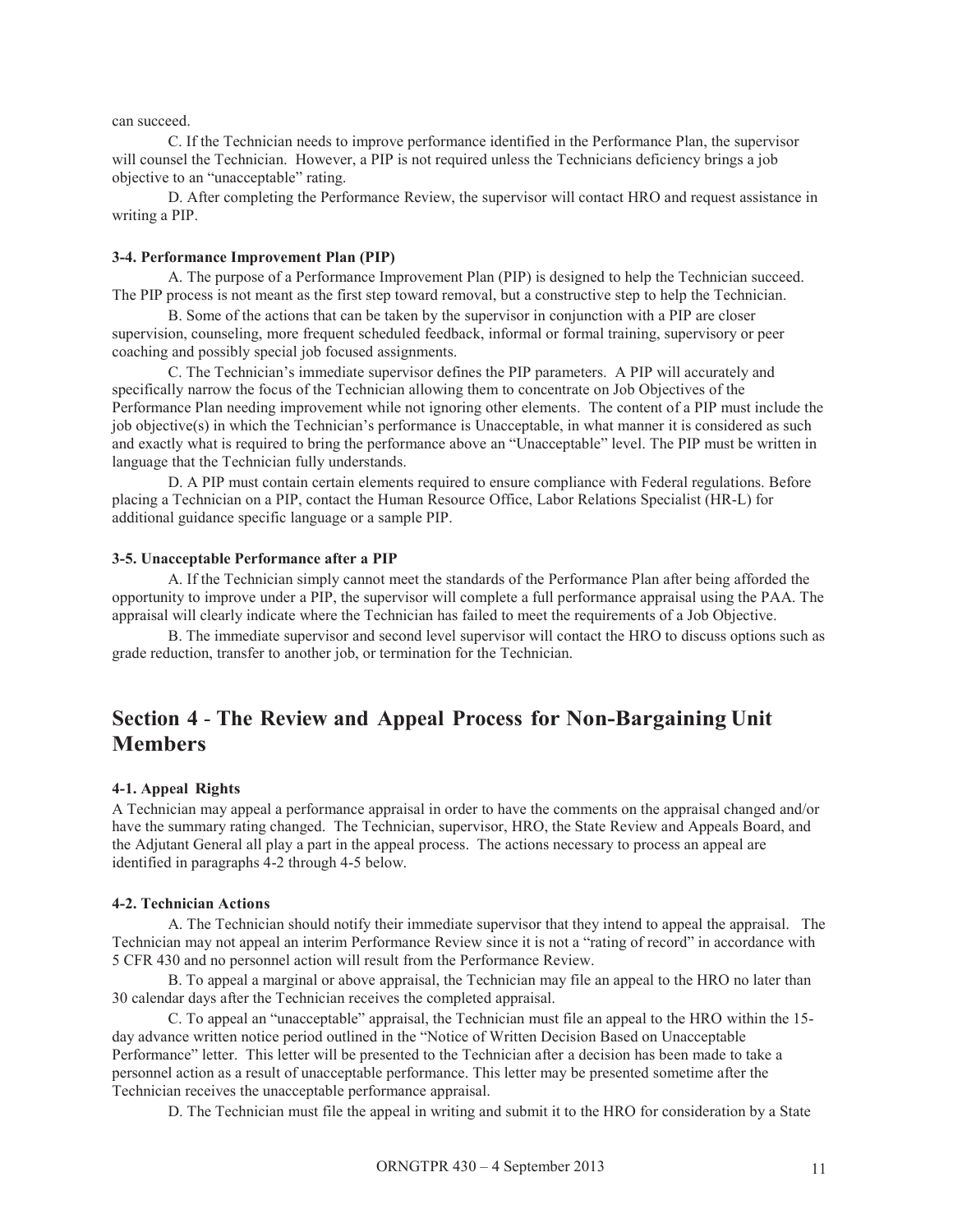can succeed.

C. If the Technician needs to improve performance identified in the Performance Plan, the supervisor will counsel the Technician. However, a PIP is not required unless the Technicians deficiency brings a job objective to an "unacceptable" rating.

D. After completing the Performance Review, the supervisor will contact HRO and request assistance in writing a PIP.

#### **3-4. Performance Improvement Plan (PIP)**

A. The purpose of a Performance Improvement Plan (PIP) is designed to help the Technician succeed. The PIP process is not meant as the first step toward removal, but a constructive step to help the Technician.

B. Some of the actions that can be taken by the supervisor in conjunction with a PIP are closer supervision, counseling, more frequent scheduled feedback, informal or formal training, supervisory or peer coaching and possibly special job focused assignments.

C. The Technician's immediate supervisor defines the PIP parameters. A PIP will accurately and specifically narrow the focus of the Technician allowing them to concentrate on Job Objectives of the Performance Plan needing improvement while not ignoring other elements. The content of a PIP must include the job objective(s) in which the Technician's performance is Unacceptable, in what manner it is considered as such and exactly what is required to bring the performance above an "Unacceptable" level. The PIP must be written in language that the Technician fully understands.

D. A PIP must contain certain elements required to ensure compliance with Federal regulations. Before placing a Technician on a PIP, contact the Human Resource Office, Labor Relations Specialist (HR-L) for additional guidance specific language or a sample PIP.

#### **3-5. Unacceptable Performance after a PIP**

A. If the Technician simply cannot meet the standards of the Performance Plan after being afforded the opportunity to improve under a PIP, the supervisor will complete a full performance appraisal using the PAA. The appraisal will clearly indicate where the Technician has failed to meet the requirements of a Job Objective.

B. The immediate supervisor and second level supervisor will contact the HRO to discuss options such as grade reduction, transfer to another job, or termination for the Technician.

# **Section 4** - **The Review and Appeal Process for Non-Bargaining Unit Members**

#### **4-1. Appeal Rights**

A Technician may appeal a performance appraisal in order to have the comments on the appraisal changed and/or have the summary rating changed. The Technician, supervisor, HRO, the State Review and Appeals Board, and the Adjutant General all play a part in the appeal process. The actions necessary to process an appeal are identified in paragraphs 4-2 through 4-5 below.

#### **4-2. Technician Actions**

A. The Technician should notify their immediate supervisor that they intend to appeal the appraisal. The Technician may not appeal an interim Performance Review since it is not a "rating of record" in accordance with 5 CFR 430 and no personnel action will result from the Performance Review.

B. To appeal a marginal or above appraisal, the Technician may file an appeal to the HRO no later than 30 calendar days after the Technician receives the completed appraisal.

C. To appeal an "unacceptable" appraisal, the Technician must file an appeal to the HRO within the 15 day advance written notice period outlined in the "Notice of Written Decision Based on Unacceptable Performance" letter. This letter will be presented to the Technician after a decision has been made to take a personnel action as a result of unacceptable performance. This letter may be presented sometime after the Technician receives the unacceptable performance appraisal.

D. The Technician must file the appeal in writing and submit it to the HRO for consideration by a State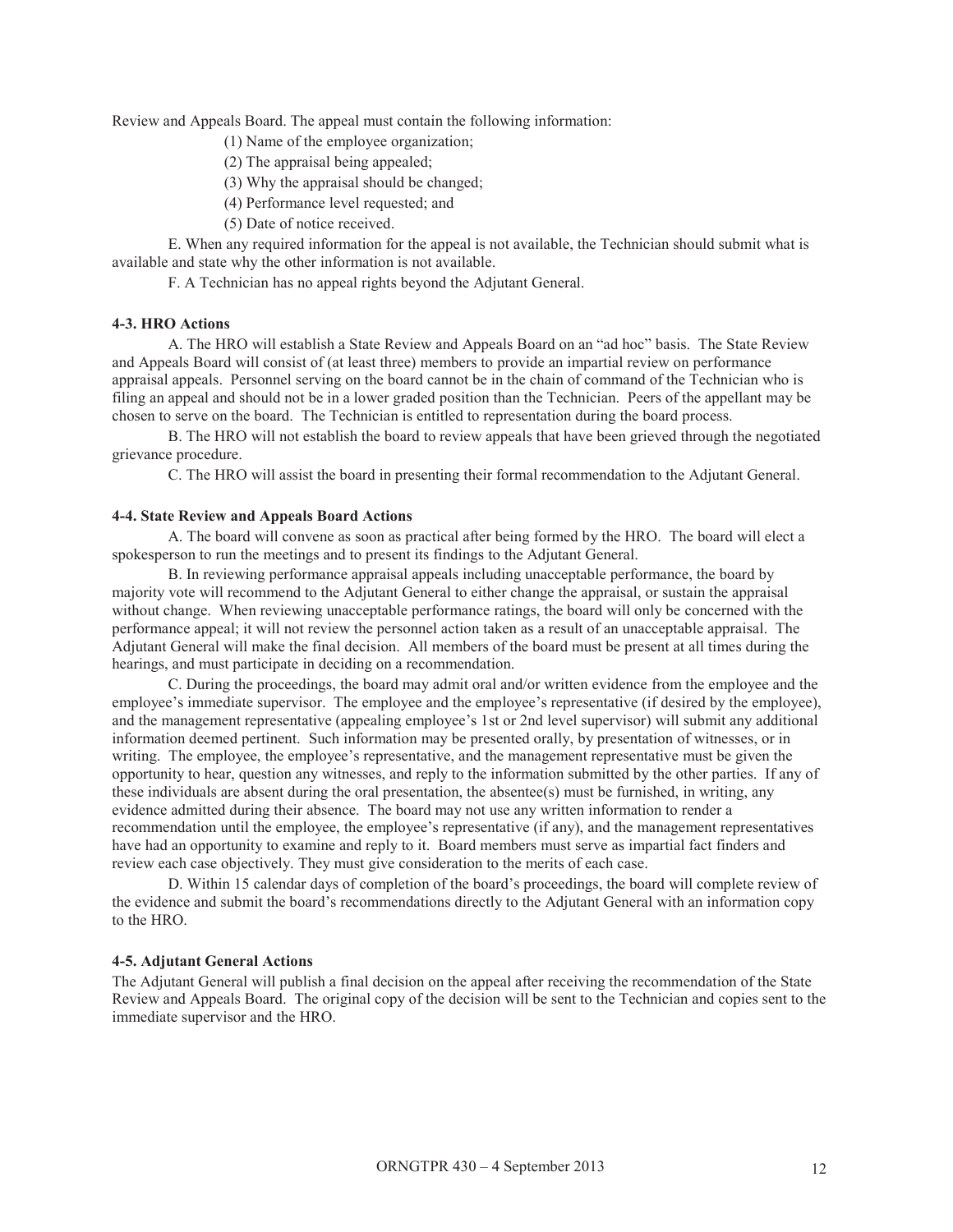Review and Appeals Board. The appeal must contain the following information:

(1) Name of the employee organization;

- (2) The appraisal being appealed;
- (3) Why the appraisal should be changed;
- (4) Performance level requested; and
- (5) Date of notice received.

E. When any required information for the appeal is not available, the Technician should submit what is available and state why the other information is not available.

F. A Technician has no appeal rights beyond the Adjutant General.

#### **4-3. HRO Actions**

A. The HRO will establish a State Review and Appeals Board on an "ad hoc" basis. The State Review and Appeals Board will consist of (at least three) members to provide an impartial review on performance appraisal appeals. Personnel serving on the board cannot be in the chain of command of the Technician who is filing an appeal and should not be in a lower graded position than the Technician. Peers of the appellant may be chosen to serve on the board. The Technician is entitled to representation during the board process.

B. The HRO will not establish the board to review appeals that have been grieved through the negotiated grievance procedure.

C. The HRO will assist the board in presenting their formal recommendation to the Adjutant General.

#### **4-4. State Review and Appeals Board Actions**

A. The board will convene as soon as practical after being formed by the HRO. The board will elect a spokesperson to run the meetings and to present its findings to the Adjutant General.

B. In reviewing performance appraisal appeals including unacceptable performance, the board by majority vote will recommend to the Adjutant General to either change the appraisal, or sustain the appraisal without change. When reviewing unacceptable performance ratings, the board will only be concerned with the performance appeal; it will not review the personnel action taken as a result of an unacceptable appraisal. The Adjutant General will make the final decision. All members of the board must be present at all times during the hearings, and must participate in deciding on a recommendation.

C. During the proceedings, the board may admit oral and/or written evidence from the employee and the employee's immediate supervisor. The employee and the employee's representative (if desired by the employee), and the management representative (appealing employee's 1st or 2nd level supervisor) will submit any additional information deemed pertinent. Such information may be presented orally, by presentation of witnesses, or in writing. The employee, the employee's representative, and the management representative must be given the opportunity to hear, question any witnesses, and reply to the information submitted by the other parties. If any of these individuals are absent during the oral presentation, the absentee(s) must be furnished, in writing, any evidence admitted during their absence. The board may not use any written information to render a recommendation until the employee, the employee's representative (if any), and the management representatives have had an opportunity to examine and reply to it. Board members must serve as impartial fact finders and review each case objectively. They must give consideration to the merits of each case.

D. Within 15 calendar days of completion of the board's proceedings, the board will complete review of the evidence and submit the board's recommendations directly to the Adjutant General with an information copy to the HRO.

#### **4-5. Adjutant General Actions**

The Adjutant General will publish a final decision on the appeal after receiving the recommendation of the State Review and Appeals Board. The original copy of the decision will be sent to the Technician and copies sent to the immediate supervisor and the HRO.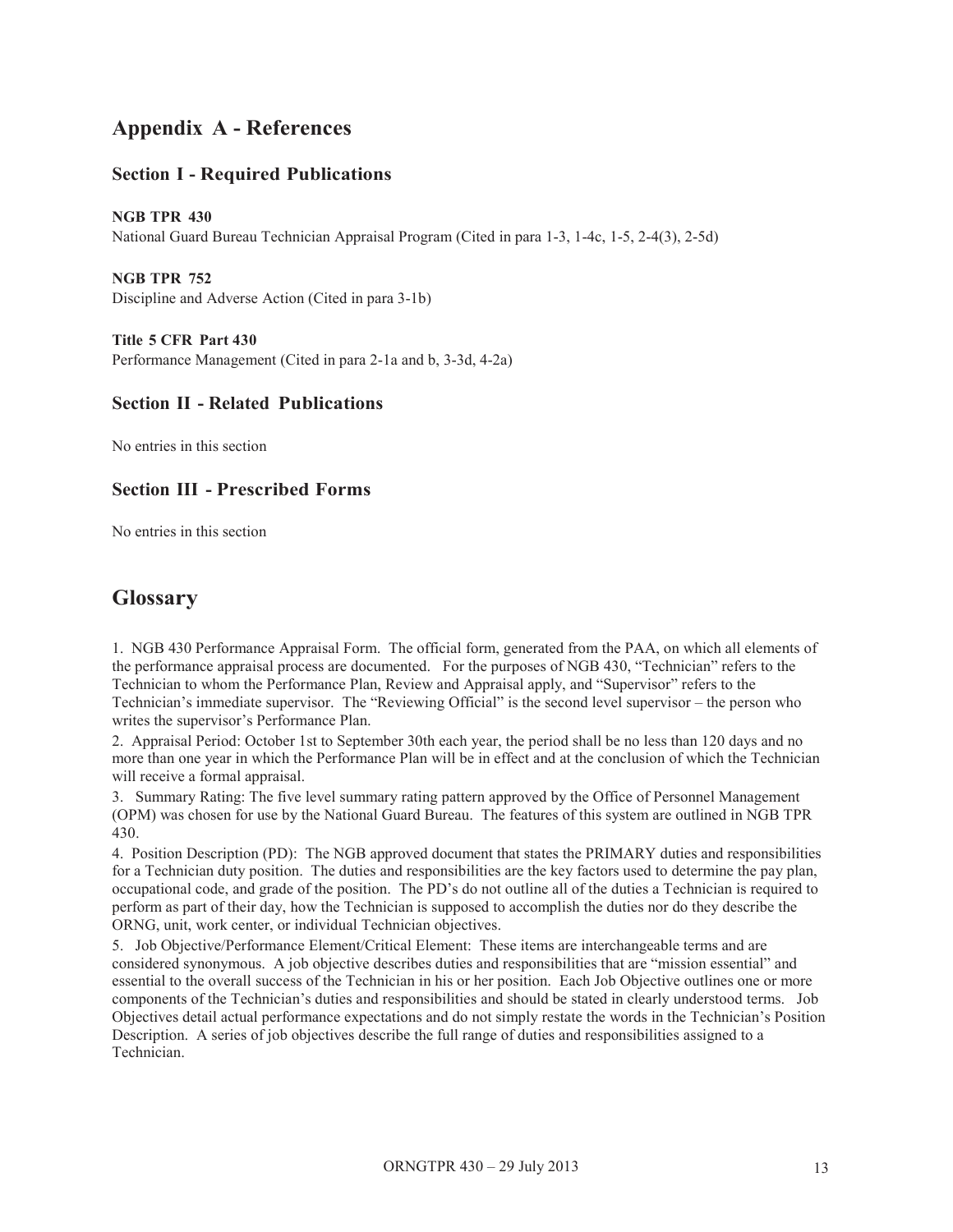# **Appendix A - References**

# **Section I - Required Publications**

**NGB TPR 430**  National Guard Bureau Technician Appraisal Program (Cited in para 1-3, 1-4c, 1-5, 2-4(3), 2-5d)

**NGB TPR 752**  Discipline and Adverse Action (Cited in para 3-1b)

**Title 5 CFR Part 430**  Performance Management (Cited in para 2-1a and b, 3-3d, 4-2a)

# **Section II - Related Publications**

No entries in this section

# **Section III - Prescribed Forms**

No entries in this section

# **Glossary**

1. NGB 430 Performance Appraisal Form. The official form, generated from the PAA, on which all elements of the performance appraisal process are documented. For the purposes of NGB 430, "Technician" refers to the Technician to whom the Performance Plan, Review and Appraisal apply, and "Supervisor" refers to the Technician's immediate supervisor. The "Reviewing Official" is the second level supervisor – the person who writes the supervisor's Performance Plan.

2. Appraisal Period: October 1st to September 30th each year, the period shall be no less than 120 days and no more than one year in which the Performance Plan will be in effect and at the conclusion of which the Technician will receive a formal appraisal.

3. Summary Rating: The five level summary rating pattern approved by the Office of Personnel Management (OPM) was chosen for use by the National Guard Bureau. The features of this system are outlined in NGB TPR 430.

4. Position Description (PD): The NGB approved document that states the PRIMARY duties and responsibilities for a Technician duty position. The duties and responsibilities are the key factors used to determine the pay plan, occupational code, and grade of the position. The PD's do not outline all of the duties a Technician is required to perform as part of their day, how the Technician is supposed to accomplish the duties nor do they describe the ORNG, unit, work center, or individual Technician objectives.

5. Job Objective/Performance Element/Critical Element: These items are interchangeable terms and are considered synonymous. A job objective describes duties and responsibilities that are "mission essential" and essential to the overall success of the Technician in his or her position. Each Job Objective outlines one or more components of the Technician's duties and responsibilities and should be stated in clearly understood terms. Job Objectives detail actual performance expectations and do not simply restate the words in the Technician's Position Description. A series of job objectives describe the full range of duties and responsibilities assigned to a Technician.